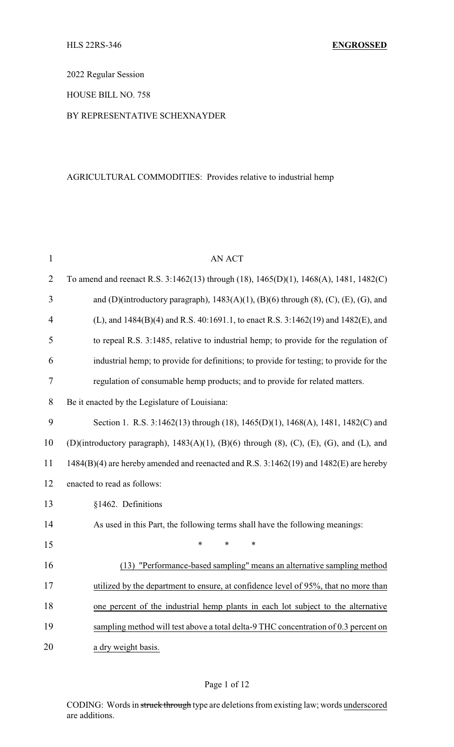2022 Regular Session

HOUSE BILL NO. 758

### BY REPRESENTATIVE SCHEXNAYDER

## AGRICULTURAL COMMODITIES: Provides relative to industrial hemp

| $\mathbf{1}$   | <b>AN ACT</b>                                                                                                |  |  |  |  |  |
|----------------|--------------------------------------------------------------------------------------------------------------|--|--|--|--|--|
| $\overline{2}$ | To amend and reenact R.S. 3:1462(13) through (18), 1465(D)(1), 1468(A), 1481, 1482(C)                        |  |  |  |  |  |
| 3              | and (D)(introductory paragraph), $1483(A)(1)$ , (B)(6) through (8), (C), (E), (G), and                       |  |  |  |  |  |
| $\overline{4}$ | (L), and 1484(B)(4) and R.S. 40:1691.1, to enact R.S. 3:1462(19) and 1482(E), and                            |  |  |  |  |  |
| 5              | to repeal R.S. 3:1485, relative to industrial hemp; to provide for the regulation of                         |  |  |  |  |  |
| 6              | industrial hemp; to provide for definitions; to provide for testing; to provide for the                      |  |  |  |  |  |
| 7              | regulation of consumable hemp products; and to provide for related matters.                                  |  |  |  |  |  |
| 8              | Be it enacted by the Legislature of Louisiana:                                                               |  |  |  |  |  |
| 9              | Section 1. R.S. 3:1462(13) through (18), 1465(D)(1), 1468(A), 1481, 1482(C) and                              |  |  |  |  |  |
| 10             | (D)(introductory paragraph), $1483(A)(1)$ , $(B)(6)$ through $(8)$ , $(C)$ , $(E)$ , $(G)$ , and $(L)$ , and |  |  |  |  |  |
| 11             | 1484(B)(4) are hereby amended and reenacted and R.S. 3:1462(19) and 1482(E) are hereby                       |  |  |  |  |  |
| 12             | enacted to read as follows:                                                                                  |  |  |  |  |  |
| 13             | §1462. Definitions                                                                                           |  |  |  |  |  |
| 14             | As used in this Part, the following terms shall have the following meanings:                                 |  |  |  |  |  |
| 15             | $\ast$<br>*<br>∗                                                                                             |  |  |  |  |  |
| 16             | (13) "Performance-based sampling" means an alternative sampling method                                       |  |  |  |  |  |
| 17             | utilized by the department to ensure, at confidence level of 95%, that no more than                          |  |  |  |  |  |
| 18             | one percent of the industrial hemp plants in each lot subject to the alternative                             |  |  |  |  |  |
| 19             | sampling method will test above a total delta-9 THC concentration of 0.3 percent on                          |  |  |  |  |  |
| 20             | a dry weight basis.                                                                                          |  |  |  |  |  |

CODING: Words in struck through type are deletions from existing law; words underscored are additions.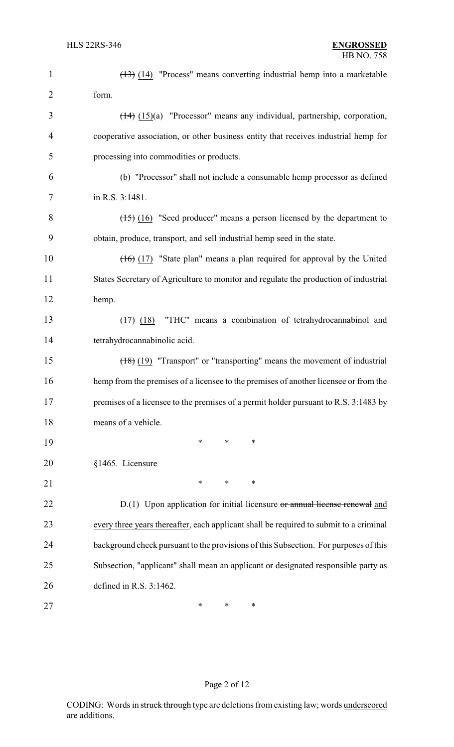| $\mathbf{1}$   | $(13)$ (14) "Process" means converting industrial hemp into a marketable                 |
|----------------|------------------------------------------------------------------------------------------|
| $\overline{2}$ | form.                                                                                    |
| 3              | $(14)$ (15)(a) "Processor" means any individual, partnership, corporation,               |
| 4              | cooperative association, or other business entity that receives industrial hemp for      |
| 5              | processing into commodities or products.                                                 |
| 6              | (b) "Processor" shall not include a consumable hemp processor as defined                 |
| 7              | in R.S. 3:1481.                                                                          |
| 8              | $(15)$ (16) "Seed producer" means a person licensed by the department to                 |
| 9              | obtain, produce, transport, and sell industrial hemp seed in the state.                  |
| 10             | $(16)$ (17) "State plan" means a plan required for approval by the United                |
| 11             | States Secretary of Agriculture to monitor and regulate the production of industrial     |
| 12             | hemp.                                                                                    |
| 13             | "THC" means a combination of tetrahydrocannabinol and<br>$\left(\frac{1}{2}\right)$ (18) |
| 14             | tetrahydrocannabinolic acid.                                                             |
| 15             | $(18)$ (19) "Transport" or "transporting" means the movement of industrial               |
| 16             | hemp from the premises of a licensee to the premises of another licensee or from the     |
| 17             | premises of a licensee to the premises of a permit holder pursuant to R.S. 3:1483 by     |
| 18             | means of a vehicle.                                                                      |
| 19             | *<br>∗<br>∗                                                                              |
| 20             | §1465. Licensure                                                                         |
| 21             | ∗<br>*<br>∗                                                                              |
| 22             | D.(1) Upon application for initial licensure or annual license renewal and               |
| 23             | every three years thereafter, each applicant shall be required to submit to a criminal   |
| 24             | background check pursuant to the provisions of this Subsection. For purposes of this     |
| 25             | Subsection, "applicant" shall mean an applicant or designated responsible party as       |
| 26             | defined in R.S. 3:1462.                                                                  |
| 27             | ∗<br>$\ast$<br>∗                                                                         |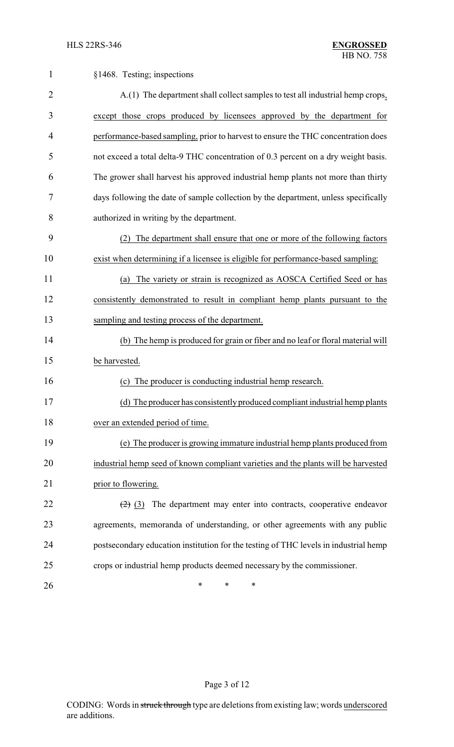| $\mathbf{1}$   | §1468. Testing; inspections                                                          |  |  |  |  |  |  |
|----------------|--------------------------------------------------------------------------------------|--|--|--|--|--|--|
| $\overline{2}$ | A.(1) The department shall collect samples to test all industrial hemp crops,        |  |  |  |  |  |  |
| 3              | except those crops produced by licensees approved by the department for              |  |  |  |  |  |  |
| 4              | performance-based sampling, prior to harvest to ensure the THC concentration does    |  |  |  |  |  |  |
| 5              | not exceed a total delta-9 THC concentration of 0.3 percent on a dry weight basis.   |  |  |  |  |  |  |
| 6              | The grower shall harvest his approved industrial hemp plants not more than thirty    |  |  |  |  |  |  |
| 7              | days following the date of sample collection by the department, unless specifically  |  |  |  |  |  |  |
| 8              | authorized in writing by the department.                                             |  |  |  |  |  |  |
| 9              | The department shall ensure that one or more of the following factors<br>(2)         |  |  |  |  |  |  |
| 10             | exist when determining if a licensee is eligible for performance-based sampling:     |  |  |  |  |  |  |
| 11             | The variety or strain is recognized as AOSCA Certified Seed or has<br>(a)            |  |  |  |  |  |  |
| 12             | consistently demonstrated to result in compliant hemp plants pursuant to the         |  |  |  |  |  |  |
| 13             | sampling and testing process of the department.                                      |  |  |  |  |  |  |
| 14             | (b) The hemp is produced for grain or fiber and no leaf or floral material will      |  |  |  |  |  |  |
| 15             | be harvested.                                                                        |  |  |  |  |  |  |
| 16             | The producer is conducting industrial hemp research.<br>(c)                          |  |  |  |  |  |  |
| 17             | (d) The producer has consistently produced compliant industrial hemp plants          |  |  |  |  |  |  |
| 18             | over an extended period of time.                                                     |  |  |  |  |  |  |
| 19             | (e) The producer is growing immature industrial hemp plants produced from            |  |  |  |  |  |  |
| 20             | industrial hemp seed of known compliant varieties and the plants will be harvested   |  |  |  |  |  |  |
| 21             | prior to flowering.                                                                  |  |  |  |  |  |  |
| 22             | The department may enter into contracts, cooperative endeavor<br>$(2)$ (3)           |  |  |  |  |  |  |
| 23             | agreements, memoranda of understanding, or other agreements with any public          |  |  |  |  |  |  |
| 24             | postsecondary education institution for the testing of THC levels in industrial hemp |  |  |  |  |  |  |
| 25             | crops or industrial hemp products deemed necessary by the commissioner.              |  |  |  |  |  |  |
| 26             | $\ast$<br>∗<br>*                                                                     |  |  |  |  |  |  |

# Page 3 of 12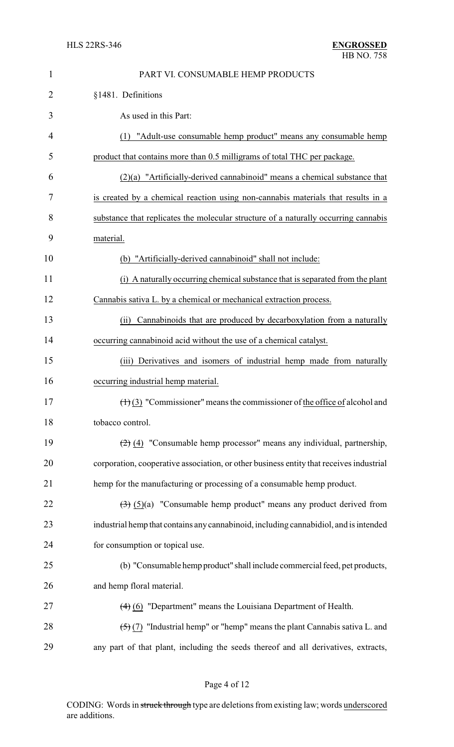| $\mathbf{1}$   | PART VI. CONSUMABLE HEMP PRODUCTS                                                             |  |  |  |  |  |  |
|----------------|-----------------------------------------------------------------------------------------------|--|--|--|--|--|--|
| $\overline{2}$ | §1481. Definitions                                                                            |  |  |  |  |  |  |
| 3              | As used in this Part:                                                                         |  |  |  |  |  |  |
| 4              | (1) "Adult-use consumable hemp product" means any consumable hemp                             |  |  |  |  |  |  |
| 5              | product that contains more than 0.5 milligrams of total THC per package.                      |  |  |  |  |  |  |
| 6              | (2)(a) "Artificially-derived cannabinoid" means a chemical substance that                     |  |  |  |  |  |  |
| 7              | is created by a chemical reaction using non-cannabis materials that results in a              |  |  |  |  |  |  |
| 8              | substance that replicates the molecular structure of a naturally occurring cannabis           |  |  |  |  |  |  |
| 9              | material.                                                                                     |  |  |  |  |  |  |
| 10             | (b) "Artificially-derived cannabinoid" shall not include:                                     |  |  |  |  |  |  |
| 11             | (i) A naturally occurring chemical substance that is separated from the plant                 |  |  |  |  |  |  |
| 12             | Cannabis sativa L. by a chemical or mechanical extraction process.                            |  |  |  |  |  |  |
| 13             | Cannabinoids that are produced by decarboxylation from a naturally<br>(ii)                    |  |  |  |  |  |  |
| 14             | occurring cannabinoid acid without the use of a chemical catalyst.                            |  |  |  |  |  |  |
| 15             | (iii) Derivatives and isomers of industrial hemp made from naturally                          |  |  |  |  |  |  |
| 16             | occurring industrial hemp material.                                                           |  |  |  |  |  |  |
| 17             | $\left(\frac{1}{2}\right)$ "Commissioner" means the commissioner of the office of alcohol and |  |  |  |  |  |  |
| 18             | tobacco control.                                                                              |  |  |  |  |  |  |
| 19             | $(2)$ (4) "Consumable hemp processor" means any individual, partnership,                      |  |  |  |  |  |  |
| 20             | corporation, cooperative association, or other business entity that receives industrial       |  |  |  |  |  |  |
| 21             | hemp for the manufacturing or processing of a consumable hemp product.                        |  |  |  |  |  |  |
| 22             | $\left(\frac{1}{2}\right)$ (5)(a) "Consumable hemp product" means any product derived from    |  |  |  |  |  |  |
| 23             | industrial hemp that contains any cannabinoid, including cannabidiol, and is intended         |  |  |  |  |  |  |
| 24             | for consumption or topical use.                                                               |  |  |  |  |  |  |
| 25             | (b) "Consumable hemp product" shall include commercial feed, pet products,                    |  |  |  |  |  |  |
| 26             | and hemp floral material.                                                                     |  |  |  |  |  |  |
| 27             | $(4)$ (6) "Department" means the Louisiana Department of Health.                              |  |  |  |  |  |  |
| 28             | $(5)(7)$ "Industrial hemp" or "hemp" means the plant Cannabis sativa L. and                   |  |  |  |  |  |  |
| 29             | any part of that plant, including the seeds thereof and all derivatives, extracts,            |  |  |  |  |  |  |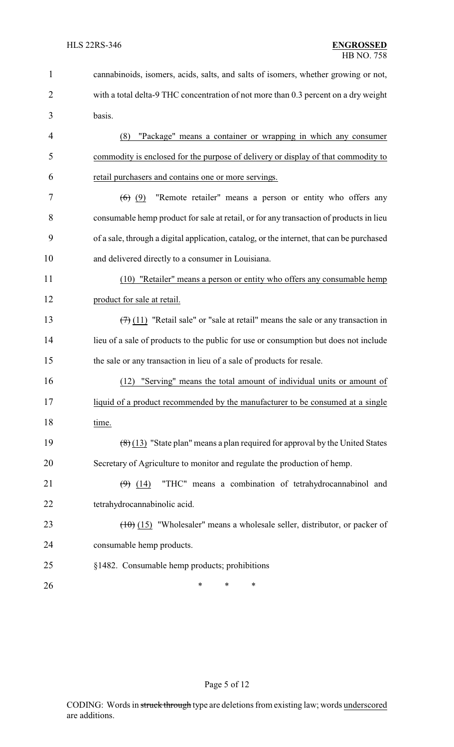| $\mathbf{1}$   | cannabinoids, isomers, acids, salts, and salts of isomers, whether growing or not,                   |  |  |  |  |
|----------------|------------------------------------------------------------------------------------------------------|--|--|--|--|
| $\overline{2}$ | with a total delta-9 THC concentration of not more than 0.3 percent on a dry weight                  |  |  |  |  |
| 3              | basis.                                                                                               |  |  |  |  |
| $\overline{4}$ | "Package" means a container or wrapping in which any consumer<br>(8)                                 |  |  |  |  |
| 5              | commodity is enclosed for the purpose of delivery or display of that commodity to                    |  |  |  |  |
| 6              | retail purchasers and contains one or more servings.                                                 |  |  |  |  |
| 7              | "Remote retailer" means a person or entity who offers any<br><del>(6)</del> (9)                      |  |  |  |  |
| 8              | consumable hemp product for sale at retail, or for any transaction of products in lieu               |  |  |  |  |
| 9              | of a sale, through a digital application, catalog, or the internet, that can be purchased            |  |  |  |  |
| 10             | and delivered directly to a consumer in Louisiana.                                                   |  |  |  |  |
| 11             | (10) "Retailer" means a person or entity who offers any consumable hemp                              |  |  |  |  |
| 12             | product for sale at retail.                                                                          |  |  |  |  |
| 13             | $(7)$ (11) "Retail sale" or "sale at retail" means the sale or any transaction in                    |  |  |  |  |
| 14             | lieu of a sale of products to the public for use or consumption but does not include                 |  |  |  |  |
| 15             | the sale or any transaction in lieu of a sale of products for resale.                                |  |  |  |  |
| 16             | "Serving" means the total amount of individual units or amount of<br>(12)                            |  |  |  |  |
| 17             | liquid of a product recommended by the manufacturer to be consumed at a single                       |  |  |  |  |
| 18             | time.                                                                                                |  |  |  |  |
| 19             | $\left(\frac{8}{6}\right)$ (13) "State plan" means a plan required for approval by the United States |  |  |  |  |
| 20             | Secretary of Agriculture to monitor and regulate the production of hemp.                             |  |  |  |  |
| 21             | "THC" means a combination of tetrahydrocannabinol and<br>$(9)$ (14)                                  |  |  |  |  |
| 22             | tetrahydrocannabinolic acid.                                                                         |  |  |  |  |
| 23             | $(10)(15)$ "Wholesaler" means a wholesale seller, distributor, or packer of                          |  |  |  |  |
| 24             | consumable hemp products.                                                                            |  |  |  |  |
| 25             | §1482. Consumable hemp products; prohibitions                                                        |  |  |  |  |
| 26             | *<br>∗<br>∗                                                                                          |  |  |  |  |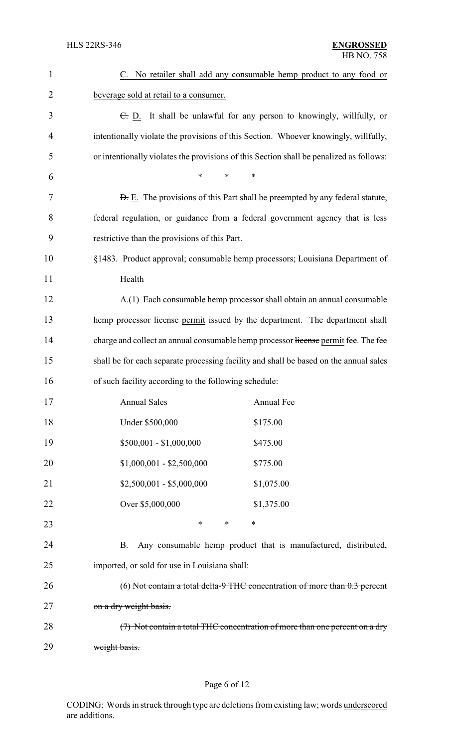| 1              | C. No retailer shall add any consumable hemp product to any food or                     |  |  |  |  |
|----------------|-----------------------------------------------------------------------------------------|--|--|--|--|
| $\overline{2}$ | beverage sold at retail to a consumer.                                                  |  |  |  |  |
| 3              | $\overline{C}$ . D. It shall be unlawful for any person to knowingly, willfully, or     |  |  |  |  |
| $\overline{4}$ | intentionally violate the provisions of this Section. Whoever knowingly, willfully,     |  |  |  |  |
| 5              | or intentionally violates the provisions of this Section shall be penalized as follows: |  |  |  |  |
| 6              | *<br>*<br>$\ast$                                                                        |  |  |  |  |
| 7              | <b>D.</b> E. The provisions of this Part shall be preempted by any federal statute,     |  |  |  |  |
| 8              | federal regulation, or guidance from a federal government agency that is less           |  |  |  |  |
| 9              | restrictive than the provisions of this Part.                                           |  |  |  |  |
| 10             | §1483. Product approval; consumable hemp processors; Louisiana Department of            |  |  |  |  |
| 11             | Health                                                                                  |  |  |  |  |
| 12             | A.(1) Each consumable hemp processor shall obtain an annual consumable                  |  |  |  |  |
| 13             | hemp processor license permit issued by the department. The department shall            |  |  |  |  |
| 14             | charge and collect an annual consumable hemp processor license permit fee. The fee      |  |  |  |  |
| 15             | shall be for each separate processing facility and shall be based on the annual sales   |  |  |  |  |
| 16             | of such facility according to the following schedule:                                   |  |  |  |  |
| 17             | <b>Annual Sales</b><br><b>Annual Fee</b>                                                |  |  |  |  |
| 18             | Under \$500,000<br>\$175.00                                                             |  |  |  |  |
| 19             | $$500,001 - $1,000,000$<br>\$475.00                                                     |  |  |  |  |
| 20             | $$1,000,001 - $2,500,000$<br>\$775.00                                                   |  |  |  |  |
| 21             | $$2,500,001 - $5,000,000$<br>\$1,075.00                                                 |  |  |  |  |
| 22             | Over \$5,000,000<br>\$1,375.00                                                          |  |  |  |  |
| 23             | *<br>$\ast$<br>*                                                                        |  |  |  |  |
| 24             | Any consumable hemp product that is manufactured, distributed,<br><b>B.</b>             |  |  |  |  |
| 25             | imported, or sold for use in Louisiana shall:                                           |  |  |  |  |
| 26             | (6) Not contain a total delta-9 THC concentration of more than $0.3$ percent            |  |  |  |  |
| 27             | on a dry weight basis.                                                                  |  |  |  |  |
| 28             | $(7)$ Not contain a total THC concentration of more than one percent on a dry           |  |  |  |  |
| 29             | weight basis.                                                                           |  |  |  |  |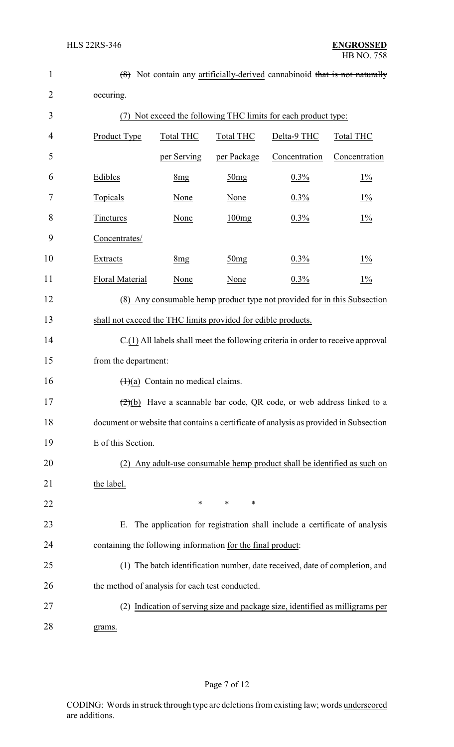| $\mathbf{1}$   |                                                                                  | (8) Not contain any artificially-derived cannabinoid that is not naturally            |                  |                                                                                           |                |  |  |
|----------------|----------------------------------------------------------------------------------|---------------------------------------------------------------------------------------|------------------|-------------------------------------------------------------------------------------------|----------------|--|--|
| $\overline{2}$ | occuring.                                                                        |                                                                                       |                  |                                                                                           |                |  |  |
| 3              | (7)                                                                              | Not exceed the following THC limits for each product type:                            |                  |                                                                                           |                |  |  |
| 4              | Product Type                                                                     | <b>Total THC</b>                                                                      | <b>Total THC</b> | Delta-9 THC                                                                               | Total THC      |  |  |
| 5              |                                                                                  | per Serving                                                                           | per Package      | Concentration                                                                             | Concentration  |  |  |
| 6              | Edibles                                                                          | 8 <sub>mg</sub>                                                                       | 50mg             | $0.3\%$                                                                                   | $1\%$          |  |  |
| 7              | Topicals                                                                         | None                                                                                  | None             | $0.3\%$                                                                                   | $1\frac{6}{2}$ |  |  |
| 8              | <b>Tinctures</b>                                                                 | None                                                                                  | 100mg            | $0.3\%$                                                                                   | $1\%$          |  |  |
| 9              | Concentrates/                                                                    |                                                                                       |                  |                                                                                           |                |  |  |
| 10             | Extracts                                                                         | 8 <sub>mg</sub>                                                                       | 50mg             | $0.3\%$                                                                                   | $1\%$          |  |  |
| 11             | <b>Floral Material</b>                                                           | None                                                                                  | None             | $0.3\%$                                                                                   | $1\%$          |  |  |
| 12             |                                                                                  |                                                                                       |                  | (8) Any consumable hemp product type not provided for in this Subsection                  |                |  |  |
| 13             | shall not exceed the THC limits provided for edible products.                    |                                                                                       |                  |                                                                                           |                |  |  |
| 14             |                                                                                  | C.(1) All labels shall meet the following criteria in order to receive approval       |                  |                                                                                           |                |  |  |
| 15             |                                                                                  | from the department:                                                                  |                  |                                                                                           |                |  |  |
| 16             |                                                                                  | $(1)(a)$ Contain no medical claims.                                                   |                  |                                                                                           |                |  |  |
| 17             |                                                                                  |                                                                                       |                  | $\left(\frac{2}{2}\right)$ Have a scannable bar code, QR code, or web address linked to a |                |  |  |
| 18             |                                                                                  | document or website that contains a certificate of analysis as provided in Subsection |                  |                                                                                           |                |  |  |
| 19             | E of this Section.                                                               |                                                                                       |                  |                                                                                           |                |  |  |
| 20             |                                                                                  |                                                                                       |                  | (2) Any adult-use consumable hemp product shall be identified as such on                  |                |  |  |
| 21             | the label.                                                                       |                                                                                       |                  |                                                                                           |                |  |  |
| 22             |                                                                                  | *                                                                                     | ∗<br>∗           |                                                                                           |                |  |  |
| 23             |                                                                                  |                                                                                       |                  | E. The application for registration shall include a certificate of analysis               |                |  |  |
| 24             | containing the following information for the final product:                      |                                                                                       |                  |                                                                                           |                |  |  |
| 25             |                                                                                  |                                                                                       |                  | (1) The batch identification number, date received, date of completion, and               |                |  |  |
| 26             |                                                                                  | the method of analysis for each test conducted.                                       |                  |                                                                                           |                |  |  |
| 27             | Indication of serving size and package size, identified as milligrams per<br>(2) |                                                                                       |                  |                                                                                           |                |  |  |
| 28             | grams.                                                                           |                                                                                       |                  |                                                                                           |                |  |  |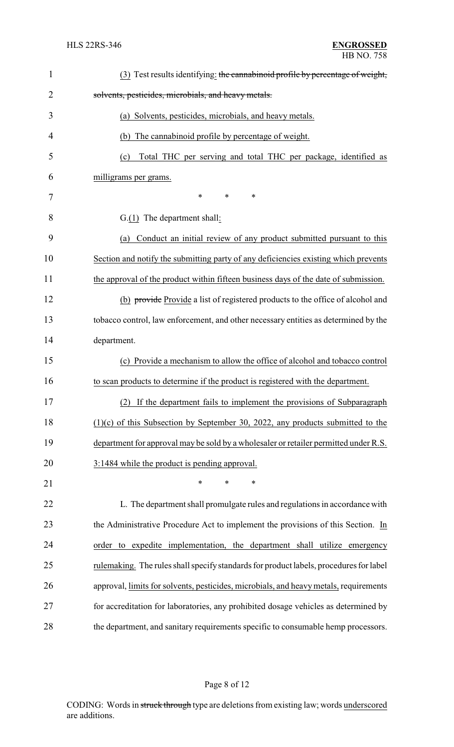| $\mathbf{1}$   | (3) Test results identifying: the cannabinoid profile by percentage of weight,         |
|----------------|----------------------------------------------------------------------------------------|
| $\overline{2}$ | solvents, pesticides, microbials, and heavy metals.                                    |
| 3              | (a) Solvents, pesticides, microbials, and heavy metals.                                |
| 4              | (b) The cannabinoid profile by percentage of weight.                                   |
| 5              | Total THC per serving and total THC per package, identified as<br>(c)                  |
| 6              | milligrams per grams.                                                                  |
| 7              | *<br>$\ast$<br>∗                                                                       |
| 8              | $G(1)$ The department shall:                                                           |
| 9              | Conduct an initial review of any product submitted pursuant to this<br>(a)             |
| 10             | Section and notify the submitting party of any deficiencies existing which prevents    |
| 11             | the approval of the product within fifteen business days of the date of submission.    |
| 12             | (b) provide Provide a list of registered products to the office of alcohol and         |
| 13             | tobacco control, law enforcement, and other necessary entities as determined by the    |
| 14             | department.                                                                            |
| 15             | (c) Provide a mechanism to allow the office of alcohol and tobacco control             |
| 16             | to scan products to determine if the product is registered with the department.        |
| 17             | (2) If the department fails to implement the provisions of Subparagraph                |
| 18             | $(1)(c)$ of this Subsection by September 30, 2022, any products submitted to the       |
| 19             | department for approval may be sold by a wholesaler or retailer permitted under R.S.   |
| 20             | 3:1484 while the product is pending approval.                                          |
| 21             | *<br>$\ast$<br>$\ast$                                                                  |
| 22             | L. The department shall promulgate rules and regulations in accordance with            |
| 23             | the Administrative Procedure Act to implement the provisions of this Section. In       |
| 24             | order to expedite implementation, the department shall utilize emergency               |
| 25             | rulemaking. The rules shall specify standards for product labels, procedures for label |
| 26             | approval, limits for solvents, pesticides, microbials, and heavy metals, requirements  |
| 27             | for accreditation for laboratories, any prohibited dosage vehicles as determined by    |
| 28             | the department, and sanitary requirements specific to consumable hemp processors.      |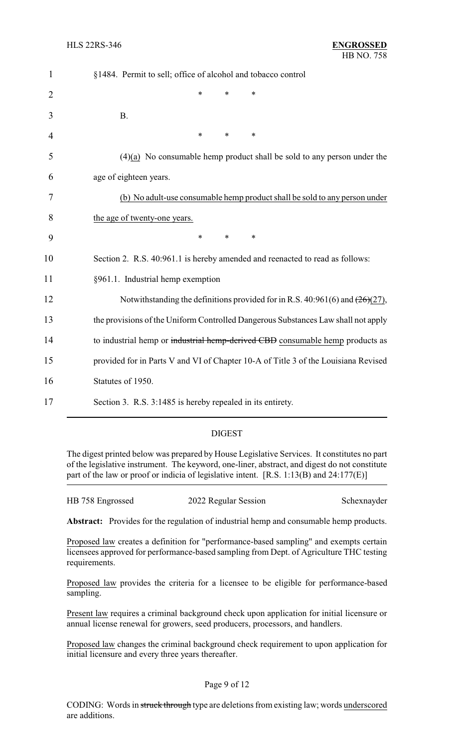| $\mathbf{1}$   | §1484. Permit to sell; office of alcohol and tobacco control                       |  |  |  |  |  |
|----------------|------------------------------------------------------------------------------------|--|--|--|--|--|
| $\overline{2}$ | *<br>$\ast$<br>*                                                                   |  |  |  |  |  |
| 3              | <b>B.</b>                                                                          |  |  |  |  |  |
| 4              | *<br>$\ast$<br>$\ast$                                                              |  |  |  |  |  |
| 5              | $(4)(a)$ No consumable hemp product shall be sold to any person under the          |  |  |  |  |  |
| 6              | age of eighteen years.                                                             |  |  |  |  |  |
| 7              | (b) No adult-use consumable hemp product shall be sold to any person under         |  |  |  |  |  |
| 8              | the age of twenty-one years.                                                       |  |  |  |  |  |
| 9              | $\ast$<br>$\ast$<br>*                                                              |  |  |  |  |  |
| 10             | Section 2. R.S. 40:961.1 is hereby amended and reenacted to read as follows:       |  |  |  |  |  |
| 11             | §961.1. Industrial hemp exemption                                                  |  |  |  |  |  |
| 12             | Notwithstanding the definitions provided for in R.S. 40:961(6) and $(26)(27)$ ,    |  |  |  |  |  |
| 13             | the provisions of the Uniform Controlled Dangerous Substances Law shall not apply  |  |  |  |  |  |
| 14             | to industrial hemp or industrial hemp-derived CBD consumable hemp products as      |  |  |  |  |  |
| 15             | provided for in Parts V and VI of Chapter 10-A of Title 3 of the Louisiana Revised |  |  |  |  |  |
| 16             | Statutes of 1950.                                                                  |  |  |  |  |  |
| 17             | Section 3. R.S. 3:1485 is hereby repealed in its entirety.                         |  |  |  |  |  |

### DIGEST

The digest printed below was prepared by House Legislative Services. It constitutes no part of the legislative instrument. The keyword, one-liner, abstract, and digest do not constitute part of the law or proof or indicia of legislative intent. [R.S. 1:13(B) and 24:177(E)]

| HB 758 Engrossed | 2022 Regular Session | Schexnayder |
|------------------|----------------------|-------------|
|                  |                      |             |

Abstract: Provides for the regulation of industrial hemp and consumable hemp products.

Proposed law creates a definition for "performance-based sampling" and exempts certain licensees approved for performance-based sampling from Dept. of Agriculture THC testing requirements.

Proposed law provides the criteria for a licensee to be eligible for performance-based sampling.

Present law requires a criminal background check upon application for initial licensure or annual license renewal for growers, seed producers, processors, and handlers.

Proposed law changes the criminal background check requirement to upon application for initial licensure and every three years thereafter.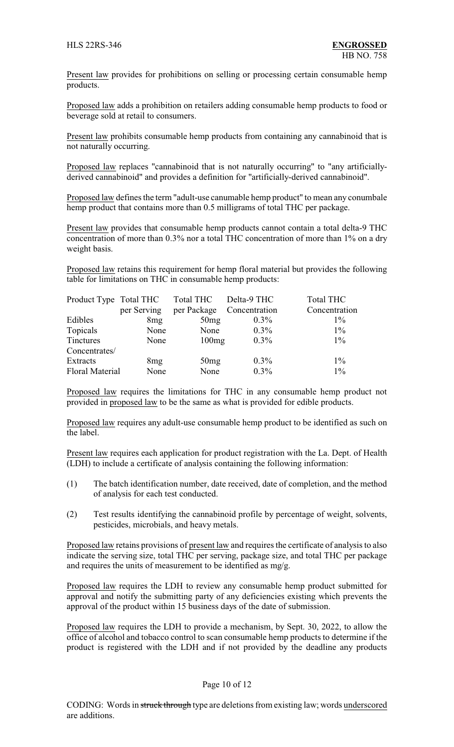Present law provides for prohibitions on selling or processing certain consumable hemp products.

Proposed law adds a prohibition on retailers adding consumable hemp products to food or beverage sold at retail to consumers.

Present law prohibits consumable hemp products from containing any cannabinoid that is not naturally occurring.

Proposed law replaces "cannabinoid that is not naturally occurring" to "any artificiallyderived cannabinoid" and provides a definition for "artificially-derived cannabinoid".

Proposed law defines the term "adult-use canumable hemp product" to mean any conumbale hemp product that contains more than 0.5 milligrams of total THC per package.

Present law provides that consumable hemp products cannot contain a total delta-9 THC concentration of more than 0.3% nor a total THC concentration of more than 1% on a dry weight basis.

Proposed law retains this requirement for hemp floral material but provides the following table for limitations on THC in consumable hemp products:

| Product Type Total THC | per Serving | Total THC<br>per Package | Delta-9 THC<br>Concentration | <b>Total THC</b><br>Concentration |  |
|------------------------|-------------|--------------------------|------------------------------|-----------------------------------|--|
| Edibles                | 8mg         | 50mg                     | $0.3\%$                      | $1\%$                             |  |
| Topicals               | None        | None                     | $0.3\%$                      | $1\%$                             |  |
| Tinctures              | None        | 100mg                    | $0.3\%$                      | $1\%$                             |  |
| Concentrates/          |             |                          |                              |                                   |  |
| Extracts               | 8mg         | 50mg                     | $0.3\%$                      | $1\%$                             |  |
| <b>Floral Material</b> | None        | None                     | $0.3\%$                      | $1\%$                             |  |

Proposed law requires the limitations for THC in any consumable hemp product not provided in proposed law to be the same as what is provided for edible products.

Proposed law requires any adult-use consumable hemp product to be identified as such on the label.

Present law requires each application for product registration with the La. Dept. of Health (LDH) to include a certificate of analysis containing the following information:

- (1) The batch identification number, date received, date of completion, and the method of analysis for each test conducted.
- (2) Test results identifying the cannabinoid profile by percentage of weight, solvents, pesticides, microbials, and heavy metals.

Proposed law retains provisions of present law and requires the certificate of analysis to also indicate the serving size, total THC per serving, package size, and total THC per package and requires the units of measurement to be identified as mg/g.

Proposed law requires the LDH to review any consumable hemp product submitted for approval and notify the submitting party of any deficiencies existing which prevents the approval of the product within 15 business days of the date of submission.

Proposed law requires the LDH to provide a mechanism, by Sept. 30, 2022, to allow the office of alcohol and tobacco control to scan consumable hemp products to determine if the product is registered with the LDH and if not provided by the deadline any products

#### Page 10 of 12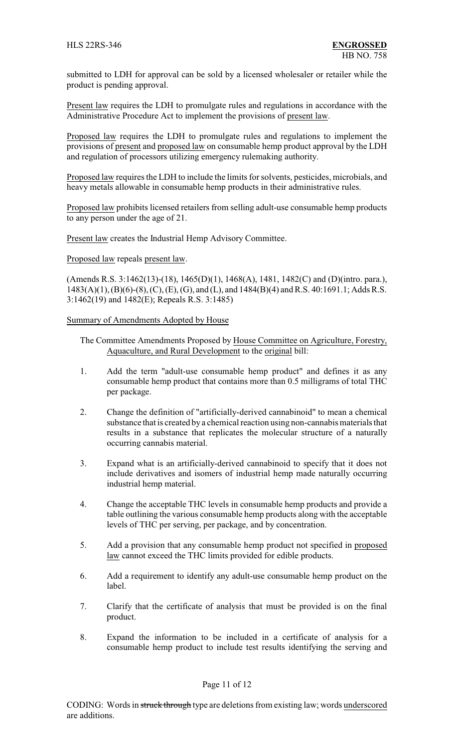submitted to LDH for approval can be sold by a licensed wholesaler or retailer while the product is pending approval.

Present law requires the LDH to promulgate rules and regulations in accordance with the Administrative Procedure Act to implement the provisions of present law.

Proposed law requires the LDH to promulgate rules and regulations to implement the provisions of present and proposed law on consumable hemp product approval by the LDH and regulation of processors utilizing emergency rulemaking authority.

Proposed law requires the LDH to include the limits for solvents, pesticides, microbials, and heavy metals allowable in consumable hemp products in their administrative rules.

Proposed law prohibits licensed retailers from selling adult-use consumable hemp products to any person under the age of 21.

Present law creates the Industrial Hemp Advisory Committee.

Proposed law repeals present law.

(Amends R.S. 3:1462(13)-(18), 1465(D)(1), 1468(A), 1481, 1482(C) and (D)(intro. para.), 1483(A)(1), (B)(6)-(8), (C), (E), (G), and (L), and 1484(B)(4) and R.S. 40:1691.1; Adds R.S. 3:1462(19) and 1482(E); Repeals R.S. 3:1485)

Summary of Amendments Adopted by House

- The Committee Amendments Proposed by House Committee on Agriculture, Forestry, Aquaculture, and Rural Development to the original bill:
- 1. Add the term "adult-use consumable hemp product" and defines it as any consumable hemp product that contains more than 0.5 milligrams of total THC per package.
- 2. Change the definition of "artificially-derived cannabinoid" to mean a chemical substance that is created by a chemical reaction using non-cannabis materials that results in a substance that replicates the molecular structure of a naturally occurring cannabis material.
- 3. Expand what is an artificially-derived cannabinoid to specify that it does not include derivatives and isomers of industrial hemp made naturally occurring industrial hemp material.
- 4. Change the acceptable THC levels in consumable hemp products and provide a table outlining the various consumable hemp products along with the acceptable levels of THC per serving, per package, and by concentration.
- 5. Add a provision that any consumable hemp product not specified in proposed law cannot exceed the THC limits provided for edible products.
- 6. Add a requirement to identify any adult-use consumable hemp product on the label.
- 7. Clarify that the certificate of analysis that must be provided is on the final product.
- 8. Expand the information to be included in a certificate of analysis for a consumable hemp product to include test results identifying the serving and